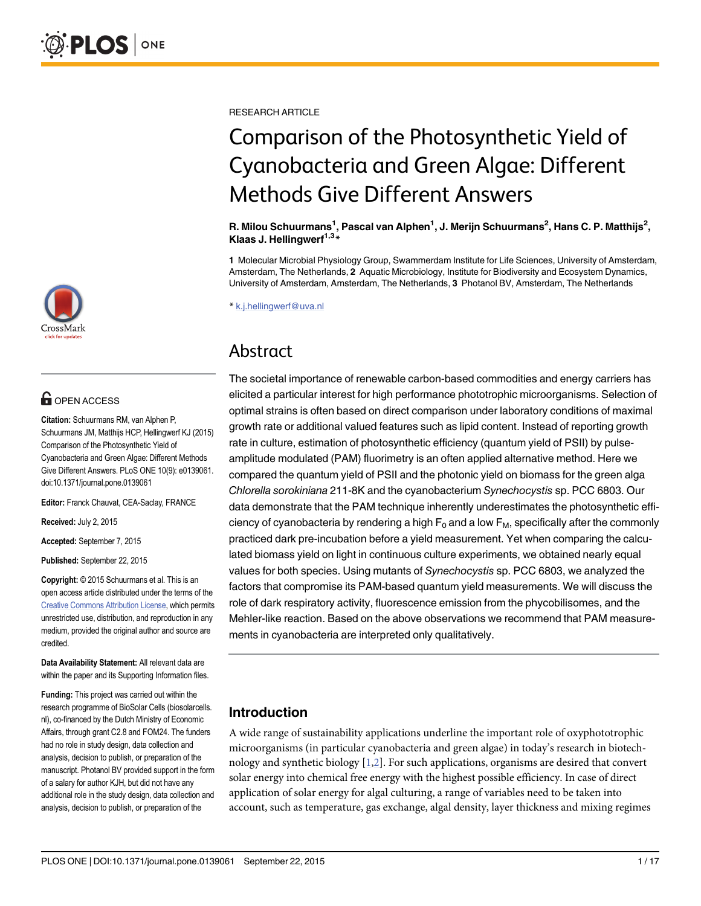

# **OPEN ACCESS**

Citation: Schuurmans RM, van Alphen P, Schuurmans JM, Matthijs HCP, Hellingwerf KJ (2015) Comparison of the Photosynthetic Yield of Cyanobacteria and Green Algae: Different Methods Give Different Answers. PLoS ONE 10(9): e0139061. doi:10.1371/journal.pone.0139061

Editor: Franck Chauvat, CEA-Saclay, FRANCE

Received: July 2, 2015

Accepted: September 7, 2015

Published: September 22, 2015

Copyright: © 2015 Schuurmans et al. This is an open access article distributed under the terms of the [Creative Commons Attribution License,](http://creativecommons.org/licenses/by/4.0/) which permits unrestricted use, distribution, and reproduction in any medium, provided the original author and source are credited.

Data Availability Statement: All relevant data are within the paper and its Supporting Information files.

Funding: This project was carried out within the research programme of BioSolar Cells (biosolarcells. nl), co-financed by the Dutch Ministry of Economic Affairs, through grant C2.8 and FOM24. The funders had no role in study design, data collection and analysis, decision to publish, or preparation of the manuscript. Photanol BV provided support in the form of a salary for author KJH, but did not have any additional role in the study design, data collection and analysis, decision to publish, or preparation of the

<span id="page-0-0"></span>RESEARCH ARTICLE

# Comparison of the Photosynthetic Yield of Cyanobacteria and Green Algae: Different Methods Give Different Answers

R. Milou Schuurmans<sup>1</sup>, Pascal van Alphen<sup>1</sup>, J. Merijn Schuurmans<sup>2</sup>, Hans C. P. Matthijs<sup>2</sup>, Klaas J. Hellingwerf $1,3*$ 

1 Molecular Microbial Physiology Group, Swammerdam Institute for Life Sciences, University of Amsterdam, Amsterdam, The Netherlands, 2 Aquatic Microbiology, Institute for Biodiversity and Ecosystem Dynamics, University of Amsterdam, Amsterdam, The Netherlands, 3 Photanol BV, Amsterdam, The Netherlands

\* k.j.hellingwerf@uva.nl

# Abstract

The societal importance of renewable carbon-based commodities and energy carriers has elicited a particular interest for high performance phototrophic microorganisms. Selection of optimal strains is often based on direct comparison under laboratory conditions of maximal growth rate or additional valued features such as lipid content. Instead of reporting growth rate in culture, estimation of photosynthetic efficiency (quantum yield of PSII) by pulseamplitude modulated (PAM) fluorimetry is an often applied alternative method. Here we compared the quantum yield of PSII and the photonic yield on biomass for the green alga Chlorella sorokiniana 211-8K and the cyanobacterium Synechocystis sp. PCC 6803. Our data demonstrate that the PAM technique inherently underestimates the photosynthetic efficiency of cyanobacteria by rendering a high  $F_0$  and a low  $F_M$ , specifically after the commonly practiced dark pre-incubation before a yield measurement. Yet when comparing the calculated biomass yield on light in continuous culture experiments, we obtained nearly equal values for both species. Using mutants of Synechocystis sp. PCC 6803, we analyzed the factors that compromise its PAM-based quantum yield measurements. We will discuss the role of dark respiratory activity, fluorescence emission from the phycobilisomes, and the Mehler-like reaction. Based on the above observations we recommend that PAM measurements in cyanobacteria are interpreted only qualitatively.

# Introduction

A wide range of sustainability applications underline the important role of oxyphototrophic microorganisms (in particular cyanobacteria and green algae) in today's research in biotechnology and synthetic biology  $[1,2]$  $[1,2]$  $[1,2]$  $[1,2]$  $[1,2]$ . For such applications, organisms are desired that convert solar energy into chemical free energy with the highest possible efficiency. In case of direct application of solar energy for algal culturing, a range of variables need to be taken into account, such as temperature, gas exchange, algal density, layer thickness and mixing regimes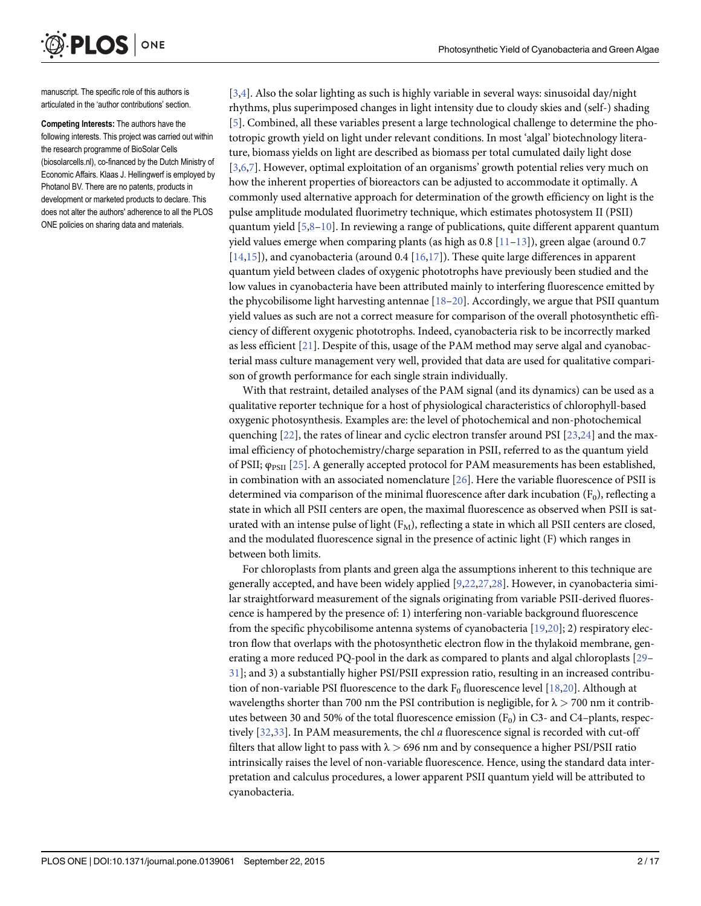manuscript. The specific role of this authors is articulated in the 'author contributions' section.

<span id="page-1-0"></span>**PLOS** I

ONE

Competing Interests: The authors have the following interests. This project was carried out within the research programme of BioSolar Cells (biosolarcells.nl), co-financed by the Dutch Ministry of Economic Affairs. Klaas J. Hellingwerf is employed by Photanol BV. There are no patents, products in development or marketed products to declare. This does not alter the authors' adherence to all the PLOS ONE policies on sharing data and materials.

[\[3,4](#page-13-0)]. Also the solar lighting as such is highly variable in several ways: sinusoidal day/night rhythms, plus superimposed changes in light intensity due to cloudy skies and (self-) shading [\[5](#page-13-0)]. Combined, all these variables present a large technological challenge to determine the phototropic growth yield on light under relevant conditions. In most 'algal' biotechnology literature, biomass yields on light are described as biomass per total cumulated daily light dose [\[3,6,7](#page-13-0)]. However, optimal exploitation of an organisms' growth potential relies very much on how the inherent properties of bioreactors can be adjusted to accommodate it optimally. A commonly used alternative approach for determination of the growth efficiency on light is the pulse amplitude modulated fluorimetry technique, which estimates photosystem II (PSII) quantum yield  $[5,8-10]$  $[5,8-10]$  $[5,8-10]$ . In reviewing a range of publications, quite different apparent quantum yield values emerge when comparing plants (as high as  $0.8$  [\[11](#page-13-0)–[13](#page-14-0)]), green algae (around 0.7  $[14,15]$ ), and cyanobacteria (around 0.4  $[16,17]$ ). These quite large differences in apparent quantum yield between clades of oxygenic phototrophs have previously been studied and the low values in cyanobacteria have been attributed mainly to interfering fluorescence emitted by the phycobilisome light harvesting antennae  $[18-20]$  $[18-20]$  $[18-20]$ . Accordingly, we argue that PSII quantum yield values as such are not a correct measure for comparison of the overall photosynthetic efficiency of different oxygenic phototrophs. Indeed, cyanobacteria risk to be incorrectly marked as less efficient [\[21\]](#page-14-0). Despite of this, usage of the PAM method may serve algal and cyanobacterial mass culture management very well, provided that data are used for qualitative comparison of growth performance for each single strain individually.

With that restraint, detailed analyses of the PAM signal (and its dynamics) can be used as a qualitative reporter technique for a host of physiological characteristics of chlorophyll-based oxygenic photosynthesis. Examples are: the level of photochemical and non-photochemical quenching  $[22]$  $[22]$  $[22]$ , the rates of linear and cyclic electron transfer around PSI  $[23,24]$  and the maximal efficiency of photochemistry/charge separation in PSII, referred to as the quantum yield of PSII;  $φ_{PSII}$  [[25](#page-14-0)]. A generally accepted protocol for PAM measurements has been established, in combination with an associated nomenclature [\[26](#page-14-0)]. Here the variable fluorescence of PSII is determined via comparison of the minimal fluorescence after dark incubation  $(F_0)$ , reflecting a state in which all PSII centers are open, the maximal fluorescence as observed when PSII is saturated with an intense pulse of light  $(F_M)$ , reflecting a state in which all PSII centers are closed, and the modulated fluorescence signal in the presence of actinic light (F) which ranges in between both limits.

For chloroplasts from plants and green alga the assumptions inherent to this technique are generally accepted, and have been widely applied [[9,](#page-13-0)[22,27,28](#page-14-0)]. However, in cyanobacteria similar straightforward measurement of the signals originating from variable PSII-derived fluorescence is hampered by the presence of: 1) interfering non-variable background fluorescence from the specific phycobilisome antenna systems of cyanobacteria [[19,20](#page-14-0)]; 2) respiratory electron flow that overlaps with the photosynthetic electron flow in the thylakoid membrane, generating a more reduced PQ-pool in the dark as compared to plants and algal chloroplasts [\[29](#page-14-0)– [31\]](#page-14-0); and 3) a substantially higher PSI/PSII expression ratio, resulting in an increased contribution of non-variable PSI fluorescence to the dark  $F_0$  fluorescence level [[18](#page-14-0),[20](#page-14-0)]. Although at wavelengths shorter than 700 nm the PSI contribution is negligible, for  $\lambda > 700$  nm it contributes between 30 and 50% of the total fluorescence emission  $(F_0)$  in C3- and C4–plants, respectively [\[32,33](#page-15-0)]. In PAM measurements, the chl a fluorescence signal is recorded with cut-off filters that allow light to pass with  $\lambda > 696$  nm and by consequence a higher PSI/PSII ratio intrinsically raises the level of non-variable fluorescence. Hence, using the standard data interpretation and calculus procedures, a lower apparent PSII quantum yield will be attributed to cyanobacteria.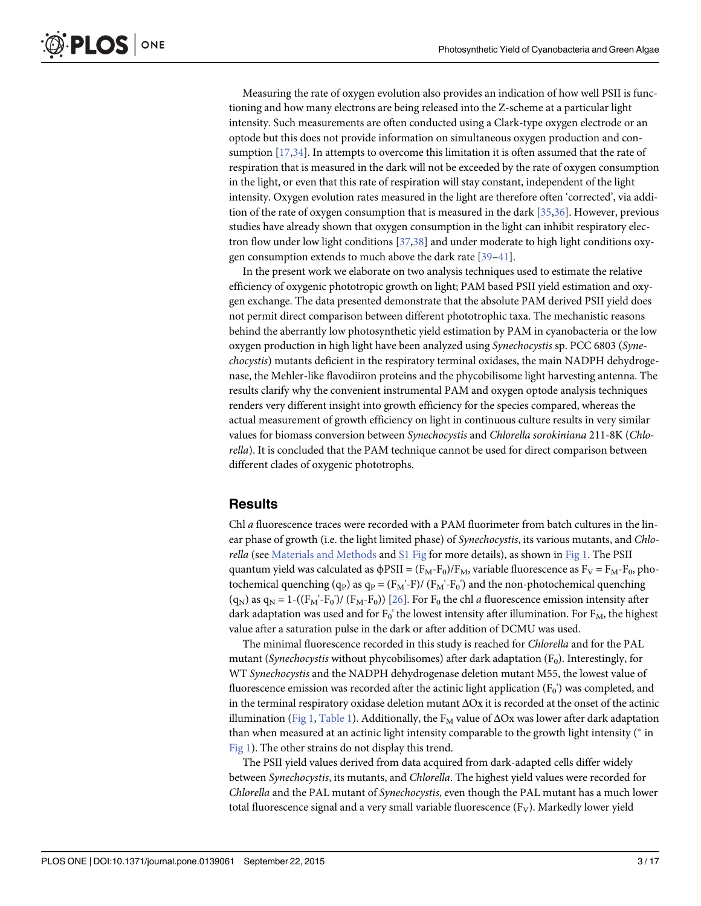<span id="page-2-0"></span>Measuring the rate of oxygen evolution also provides an indication of how well PSII is functioning and how many electrons are being released into the Z-scheme at a particular light intensity. Such measurements are often conducted using a Clark-type oxygen electrode or an optode but this does not provide information on simultaneous oxygen production and consumption [[17](#page-14-0),[34](#page-15-0)]. In attempts to overcome this limitation it is often assumed that the rate of respiration that is measured in the dark will not be exceeded by the rate of oxygen consumption in the light, or even that this rate of respiration will stay constant, independent of the light intensity. Oxygen evolution rates measured in the light are therefore often 'corrected', via addition of the rate of oxygen consumption that is measured in the dark  $[35,36]$ . However, previous studies have already shown that oxygen consumption in the light can inhibit respiratory electron flow under low light conditions [\[37,38](#page-15-0)] and under moderate to high light conditions oxygen consumption extends to much above the dark rate [\[39](#page-15-0)–[41\]](#page-15-0).

In the present work we elaborate on two analysis techniques used to estimate the relative efficiency of oxygenic phototropic growth on light; PAM based PSII yield estimation and oxygen exchange. The data presented demonstrate that the absolute PAM derived PSII yield does not permit direct comparison between different phototrophic taxa. The mechanistic reasons behind the aberrantly low photosynthetic yield estimation by PAM in cyanobacteria or the low oxygen production in high light have been analyzed using Synechocystis sp. PCC 6803 (Synechocystis) mutants deficient in the respiratory terminal oxidases, the main NADPH dehydrogenase, the Mehler-like flavodiiron proteins and the phycobilisome light harvesting antenna. The results clarify why the convenient instrumental PAM and oxygen optode analysis techniques renders very different insight into growth efficiency for the species compared, whereas the actual measurement of growth efficiency on light in continuous culture results in very similar values for biomass conversion between Synechocystis and Chlorella sorokiniana 211-8K (Chlorella). It is concluded that the PAM technique cannot be used for direct comparison between different clades of oxygenic phototrophs.

#### **Results**

Chl a fluorescence traces were recorded with a PAM fluorimeter from batch cultures in the linear phase of growth (i.e. the light limited phase) of *Synechocystis*, its various mutants, and *Chlo*rella (see [Materials and Methods](#page-10-0) and [S1 Fig](#page-13-0) for more details), as shown in [Fig 1](#page-3-0). The PSII quantum yield was calculated as  $\phi$ PSII = (F<sub>M</sub>-F<sub>0</sub>)/F<sub>M</sub>, variable fluorescence as F<sub>V</sub> = F<sub>M</sub>-F<sub>0</sub>, photochemical quenching (q<sub>P</sub>) as q<sub>P</sub> = (F<sub>M</sub>'-F)/ (F<sub>M</sub>'-F<sub>0</sub>') and the non-photochemical quenching  $(q_N)$  as  $q_N = 1-(F_M'-F_0')/(F_M-F_0)$  [[26](#page-14-0)]. For  $F_0$  the chl *a* fluorescence emission intensity after dark adaptation was used and for  $F_0'$  the lowest intensity after illumination. For  $F_M$ , the highest value after a saturation pulse in the dark or after addition of DCMU was used.

The minimal fluorescence recorded in this study is reached for Chlorella and for the PAL mutant (Synechocystis without phycobilisomes) after dark adaptation (F<sub>0</sub>). Interestingly, for WT Synechocystis and the NADPH dehydrogenase deletion mutant M55, the lowest value of fluorescence emission was recorded after the actinic light application  $(F_0')$  was completed, and in the terminal respiratory oxidase deletion mutant  $\Delta$ Ox it is recorded at the onset of the actinic illumination ([Fig 1](#page-3-0), [Table 1\)](#page-4-0). Additionally, the  $F_M$  value of  $\Delta Ox$  was lower after dark adaptation than when measured at an actinic light intensity comparable to the growth light intensity ( $*$  in [Fig 1](#page-3-0)). The other strains do not display this trend.

The PSII yield values derived from data acquired from dark-adapted cells differ widely between Synechocystis, its mutants, and Chlorella. The highest yield values were recorded for Chlorella and the PAL mutant of Synechocystis, even though the PAL mutant has a much lower total fluorescence signal and a very small variable fluorescence  $(F_V)$ . Markedly lower yield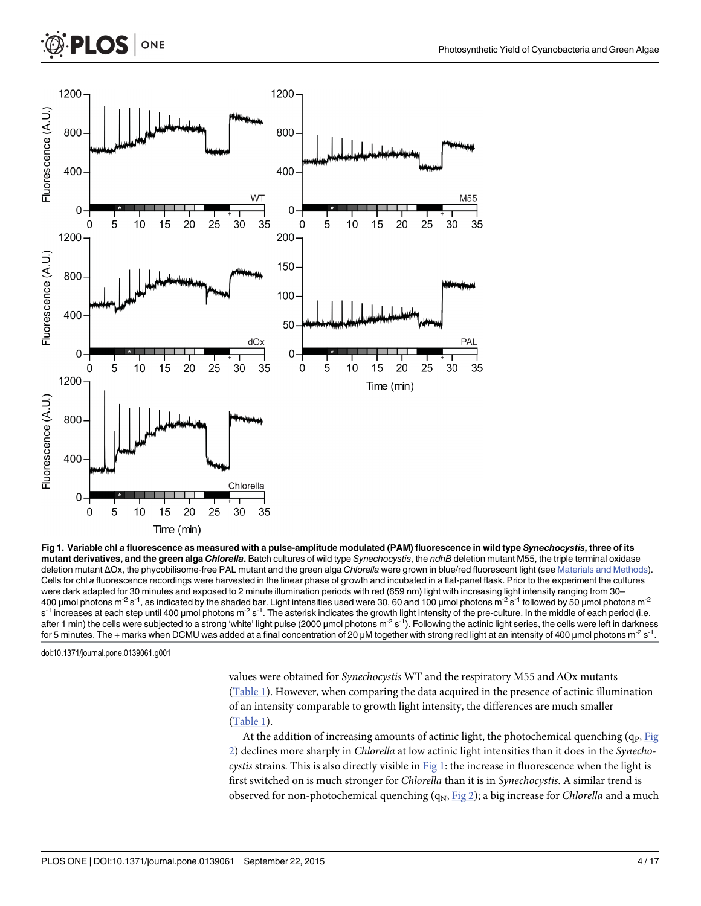

Time (min)

ONE

<span id="page-3-0"></span>PLOS

[Fig 1. V](#page-2-0)ariable chl a fluorescence as measured with a pulse-amplitude modulated (PAM) fluorescence in wild type Synechocystis, three of its mutant derivatives, and the green alga Chlorella. Batch cultures of wild type Synechocystis, the ndhB deletion mutant M55, the triple terminal oxidase deletion mutant ΔOx, the phycobilisome-free PAL mutant and the green alga Chlorella were grown in blue/red fluorescent light (see [Materials and Methods](#page-10-0)). Cells for chl a fluorescence recordings were harvested in the linear phase of growth and incubated in a flat-panel flask. Prior to the experiment the cultures were dark adapted for 30 minutes and exposed to 2 minute illumination periods with red (659 nm) light with increasing light intensity ranging from 30-400 μmol photons m<sup>-2</sup> s<sup>-1</sup>, as indicated by the shaded bar. Light intensities used were 30, 60 and 100 μmol photons m<sup>-2</sup> s<sup>-1</sup> followed by 50 μmol photons m<sup>-2</sup>  $s<sup>-1</sup>$  increases at each step until 400 µmol photons m<sup>-2</sup> s<sup>-1</sup>. The asterisk indicates the growth light intensity of the pre-culture. In the middle of each period (i.e. after 1 min) the cells were subjected to a strong 'white' light pulse (2000 µmol photons  $m^2 s^{-1}$ ). Following the actinic light series, the cells were left in darkness for 5 minutes. The + marks when DCMU was added at a final concentration of 20 μM together with strong red light at an intensity of 400 μmol photons m<sup>-2</sup> s<sup>-1</sup>.

doi:10.1371/journal.pone.0139061.g001

values were obtained for Synechocystis WT and the respiratory M55 and ΔOx mutants [\(Table 1\)](#page-4-0). However, when comparing the data acquired in the presence of actinic illumination of an intensity comparable to growth light intensity, the differences are much smaller [\(Table 1\)](#page-4-0).

At the addition of increasing amounts of actinic light, the photochemical quenching  $(q_P, Fig)$  $(q_P, Fig)$  $(q_P, Fig)$ [2\)](#page-4-0) declines more sharply in Chlorella at low actinic light intensities than it does in the Synechocystis strains. This is also directly visible in  $Fig 1$ : the increase in fluorescence when the light is first switched on is much stronger for Chlorella than it is in Synechocystis. A similar trend is observed for non-photochemical quenching  $(q_N, Fig 2)$  $(q_N, Fig 2)$  $(q_N, Fig 2)$ ; a big increase for *Chlorella* and a much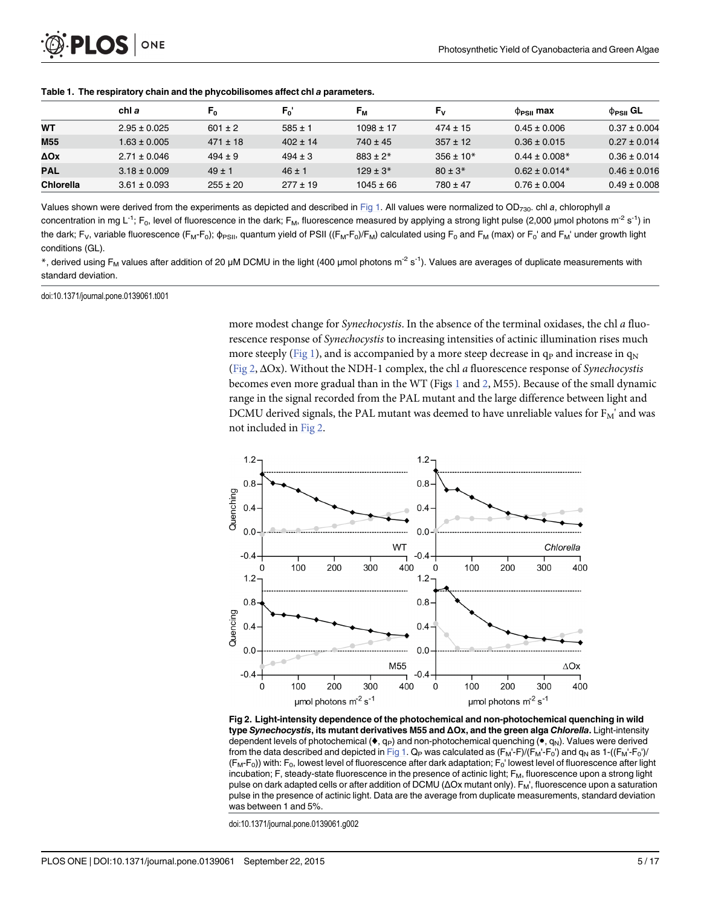|            | chl a            | F0           | $F_0'$       | F <sub>M</sub> | Fv            | $\Phi_{PSII}$ max | $\phi_{PSII}$ GL |
|------------|------------------|--------------|--------------|----------------|---------------|-------------------|------------------|
| WТ         | $2.95 \pm 0.025$ | $601 \pm 2$  | $585 \pm 1$  | $1098 \pm 17$  | $474 \pm 15$  | $0.45 \pm 0.006$  | $0.37 \pm 0.004$ |
| M55        | $1.63 \pm 0.005$ | $471 \pm 18$ | $402 \pm 14$ | $740 \pm 45$   | $357 \pm 12$  | $0.36 \pm 0.015$  | $0.27 \pm 0.014$ |
| ΔOχ        | $2.71 \pm 0.046$ | $494 \pm 9$  | $494 \pm 3$  | $883 + 2*$     | $356 \pm 10*$ | $0.44 \pm 0.008*$ | $0.36 \pm 0.014$ |
| <b>PAL</b> | $3.18 \pm 0.009$ | $49 \pm 1$   | $46 \pm 1$   | $129 \pm 3*$   | $80 \pm 3*$   | $0.62 \pm 0.014*$ | $0.46 \pm 0.016$ |
| Chlorella  | $3.61 \pm 0.093$ | $255 \pm 20$ | $277 \pm 19$ | $1045 \pm 66$  | $780 \pm 47$  | $0.76 \pm 0.004$  | $0.49 \pm 0.008$ |

<span id="page-4-0"></span>[Table 1.](#page-2-0) The respiratory chain and the phycobilisomes affect chl a parameters.

Values shown were derived from the experiments as depicted and described in [Fig 1](#page-3-0). All values were normalized to OD<sub>730</sub>. chl a, chlorophyll a concentration in mg L<sup>-1</sup>; F<sub>0</sub>, level of fluorescence in the dark; F<sub>M</sub>, fluorescence measured by applying a strong light pulse (2,000 µmol photons m<sup>-2</sup> s<sup>-1</sup>) in the dark; F<sub>V</sub>, variable fluorescence (F<sub>M</sub>-F<sub>0</sub>);  $\phi_{PSII}$ , quantum yield of PSII ((F<sub>M</sub>-F<sub>0</sub>)/F<sub>M</sub>) calculated using F<sub>0</sub> and F<sub>M</sub> (max) or F<sub>0</sub>' and F<sub>M</sub>' under growth light conditions (GL).

\*, derived using F<sub>M</sub> values after addition of 20 µM DCMU in the light (400 µmol photons m<sup>-2</sup> s<sup>-1</sup>). Values are averages of duplicate measurements with standard deviation.

doi:10.1371/journal.pone.0139061.t001

more modest change for *Synechocystis*. In the absence of the terminal oxidases, the chl a fluorescence response of Synechocystis to increasing intensities of actinic illumination rises much more steeply [\(Fig 1\)](#page-3-0), and is accompanied by a more steep decrease in  $q_p$  and increase in  $q_N$ (Fig 2, ΔOx). Without the NDH-1 complex, the chl a fluorescence response of Synechocystis becomes even more gradual than in the WT (Figs  $1$  and  $2$ , M55). Because of the small dynamic range in the signal recorded from the PAL mutant and the large difference between light and DCMU derived signals, the PAL mutant was deemed to have unreliable values for  $F_M'$  and was not included in Fig 2.



[Fig 2. L](#page-3-0)ight-intensity dependence of the photochemical and non-photochemical quenching in wild type Synechocystis, its mutant derivatives M55 and ΔOx, and the green alga Chlorella. Light-intensity dependent levels of photochemical ( $\bullet$ , q<sub>p</sub>) and non-photochemical quenching ( $\bullet$ , q<sub>N</sub>). Values were derived from the data described and depicted in [Fig 1](#page-3-0).  $Q_P$  was calculated as  $(F_M-F) / (F_M-F_0')$  and  $q_N$  as 1- $((F_M-F_0')/$  $(F_M-F_0)$ ) with: F<sub>0</sub>, lowest level of fluorescence after dark adaptation;  $F_0'$  lowest level of fluorescence after light incubation; F, steady-state fluorescence in the presence of actinic light;  $F_M$ , fluorescence upon a strong light pulse on dark adapted cells or after addition of DCMU (ΔOx mutant only). F<sub>M</sub>', fluorescence upon a saturation pulse in the presence of actinic light. Data are the average from duplicate measurements, standard deviation was between 1 and 5%.

doi:10.1371/journal.pone.0139061.g002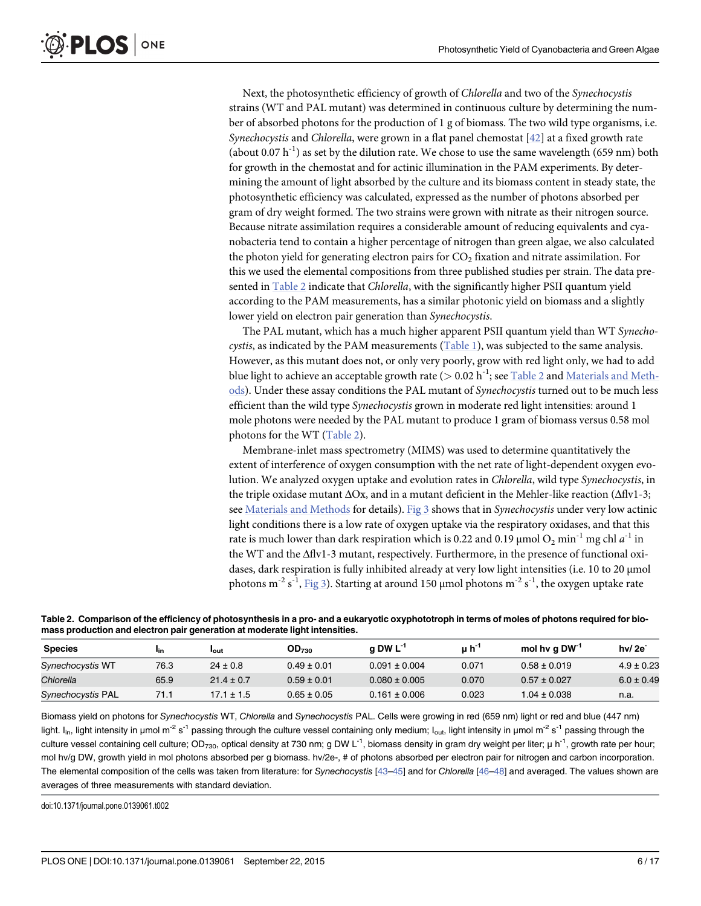Next, the photosynthetic efficiency of growth of Chlorella and two of the Synechocystis strains (WT and PAL mutant) was determined in continuous culture by determining the number of absorbed photons for the production of 1 g of biomass. The two wild type organisms, i.e. Synechocystis and Chlorella, were grown in a flat panel chemostat  $[42]$  $[42]$  $[42]$  at a fixed growth rate (about 0.07 h<sup>-1</sup>) as set by the dilution rate. We chose to use the same wavelength (659 nm) both for growth in the chemostat and for actinic illumination in the PAM experiments. By determining the amount of light absorbed by the culture and its biomass content in steady state, the photosynthetic efficiency was calculated, expressed as the number of photons absorbed per gram of dry weight formed. The two strains were grown with nitrate as their nitrogen source. Because nitrate assimilation requires a considerable amount of reducing equivalents and cyanobacteria tend to contain a higher percentage of nitrogen than green algae, we also calculated the photon yield for generating electron pairs for  $CO<sub>2</sub>$  fixation and nitrate assimilation. For this we used the elemental compositions from three published studies per strain. The data presented in Table 2 indicate that Chlorella, with the significantly higher PSII quantum yield according to the PAM measurements, has a similar photonic yield on biomass and a slightly lower yield on electron pair generation than Synechocystis.

The PAL mutant, which has a much higher apparent PSII quantum yield than WT Synechocystis, as indicated by the PAM measurements  $(Table 1)$  $(Table 1)$ , was subjected to the same analysis. However, as this mutant does not, or only very poorly, grow with red light only, we had to add blue light to achieve an acceptable growth rate ( $> 0.02$  h<sup>-1</sup>; see Table 2 and [Materials and Meth](#page-10-0)[ods\)](#page-10-0). Under these assay conditions the PAL mutant of Synechocystis turned out to be much less efficient than the wild type Synechocystis grown in moderate red light intensities: around 1 mole photons were needed by the PAL mutant to produce 1 gram of biomass versus 0.58 mol photons for the WT (Table 2).

Membrane-inlet mass spectrometry (MIMS) was used to determine quantitatively the extent of interference of oxygen consumption with the net rate of light-dependent oxygen evolution. We analyzed oxygen uptake and evolution rates in Chlorella, wild type Synechocystis, in the triple oxidase mutant ΔOx, and in a mutant deficient in the Mehler-like reaction (Δflv1-3; see [Materials and Methods](#page-10-0) for details). [Fig 3](#page-6-0) shows that in Synechocystis under very low actinic light conditions there is a low rate of oxygen uptake via the respiratory oxidases, and that this rate is much lower than dark respiration which is 0.22 and 0.19  $\mu$ mol O<sub>2</sub> min<sup>-1</sup> mg chl a<sup>-1</sup> in the WT and the Δflv1-3 mutant, respectively. Furthermore, in the presence of functional oxidases, dark respiration is fully inhibited already at very low light intensities (i.e. 10 to 20 μmol photons m $^{-2}$  s $^{-1}$ ,  $\underline{\text{Fig 3}}$  $\underline{\text{Fig 3}}$  $\underline{\text{Fig 3}}$ ). Starting at around 150 µmol photons m $^{-2}$  s $^{-1}$ , the oxygen uptake rate

Table 2. Comparison of the efficiency of photosynthesis in a pro- and a eukaryotic oxyphototroph in terms of moles of photons required for biomass production and electron pair generation at moderate light intensities.

| <b>Species</b>    | l <sub>in</sub> | <b>l</b> out   | OD <sub>730</sub> | $a$ DW $L^{-1}$   | uh''  | mol hy q DW <sup>-1</sup> | $hv/2e^-$      |
|-------------------|-----------------|----------------|-------------------|-------------------|-------|---------------------------|----------------|
| Synechocystis WT  | 76.3            | $24 \pm 0.8$   | $0.49 \pm 0.01$   | $0.091 \pm 0.004$ | 0.071 | $0.58 \pm 0.019$          | $4.9 \pm 0.23$ |
| Chlorella         | 65.9            | $21.4 \pm 0.7$ | $0.59 \pm 0.01$   | $0.080 \pm 0.005$ | 0.070 | $0.57 \pm 0.027$          | $6.0 \pm 0.49$ |
| Synechocystis PAL | 71.1            | 17.1 ± 1.5     | $0.65 \pm 0.05$   | $0.161 \pm 0.006$ | 0.023 | $1.04 \pm 0.038$          | n.a.           |

Biomass yield on photons for Synechocystis WT, Chlorella and Synechocystis PAL. Cells were growing in red (659 nm) light or red and blue (447 nm) light. I<sub>in</sub>, light intensity in µmol m<sup>-2</sup> s<sup>-1</sup> passing through the culture vessel containing only medium; I<sub>out</sub>, light intensity in µmol m<sup>-2</sup> s<sup>-1</sup> passing through the culture vessel containing cell culture; OD<sub>730</sub>, optical density at 730 nm; g DW L<sup>-1</sup>, biomass density in gram dry weight per liter; μ h<sup>-1</sup>, growth rate per hour; mol hv/g DW, growth yield in mol photons absorbed per g biomass. hv/2e-, # of photons absorbed per electron pair for nitrogen and carbon incorporation. The elemental composition of the cells was taken from literature: for Synechocystis [\[43](#page-15-0)-[45](#page-15-0)] and for Chlorella [[46](#page-15-0)-[48\]](#page-15-0) and averaged. The values shown are averages of three measurements with standard deviation.

doi:10.1371/journal.pone.0139061.t002

<span id="page-5-0"></span>**PLOS** I

ONE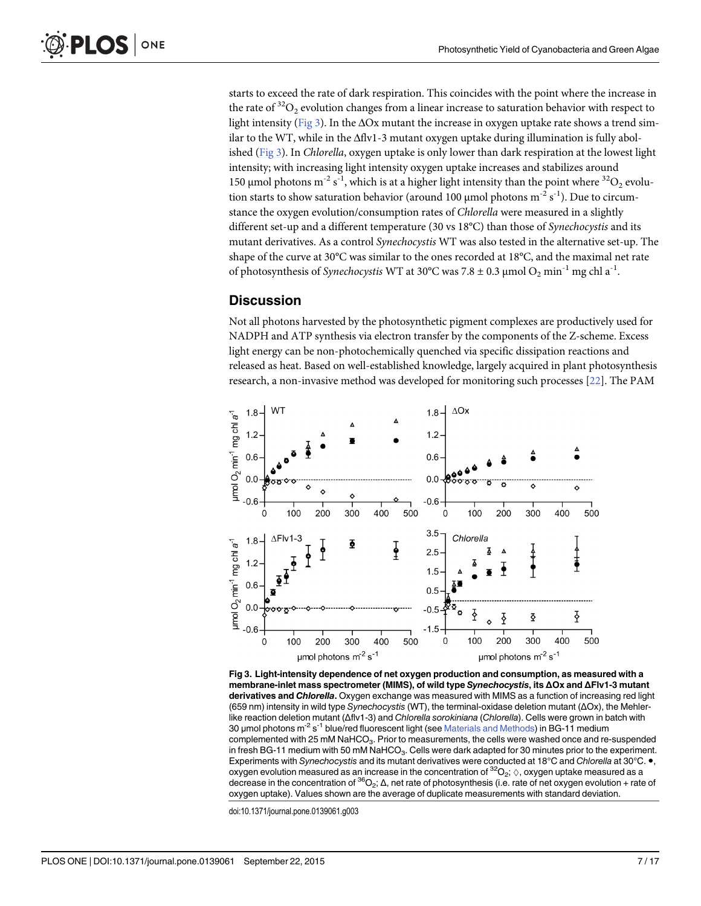<span id="page-6-0"></span>starts to exceed the rate of dark respiration. This coincides with the point where the increase in the rate of  ${}^{32}O_2$  evolution changes from a linear increase to saturation behavior with respect to light intensity (Fig 3). In the  $\Delta$ Ox mutant the increase in oxygen uptake rate shows a trend similar to the WT, while in the Δflv1-3 mutant oxygen uptake during illumination is fully abolished (Fig 3). In *Chlorella*, oxygen uptake is only lower than dark respiration at the lowest light intensity; with increasing light intensity oxygen uptake increases and stabilizes around 150 μmol photons m<sup>-2</sup> s<sup>-1</sup>, which is at a higher light intensity than the point where <sup>32</sup>O<sub>2</sub> evolution starts to show saturation behavior (around 100 µmol photons  $\text{m}^{\text{-2}} \, \text{s}^{\text{-1}}$ ). Due to circumstance the oxygen evolution/consumption rates of Chlorella were measured in a slightly different set-up and a different temperature (30 vs 18°C) than those of Synechocystis and its mutant derivatives. As a control Synechocystis WT was also tested in the alternative set-up. The shape of the curve at 30°C was similar to the ones recorded at 18°C, and the maximal net rate of photosynthesis of *Synechocystis* WT at 30°C was 7.8  $\pm$  0.3 µmol O<sub>2</sub> min<sup>-1</sup> mg chl a<sup>-1</sup>.

# **Discussion**

Not all photons harvested by the photosynthetic pigment complexes are productively used for NADPH and ATP synthesis via electron transfer by the components of the Z-scheme. Excess light energy can be non-photochemically quenched via specific dissipation reactions and released as heat. Based on well-established knowledge, largely acquired in plant photosynthesis research, a non-invasive method was developed for monitoring such processes [\[22\]](#page-14-0). The PAM



[Fig 3. L](#page-5-0)ight-intensity dependence of net oxygen production and consumption, as measured with a membrane-inlet mass spectrometer (MIMS), of wild type Synechocystis, its ΔOx and ΔFlv1-3 mutant derivatives and Chlorella. Oxygen exchange was measured with MIMS as a function of increasing red light (659 nm) intensity in wild type Synechocystis (WT), the terminal-oxidase deletion mutant (ΔOx), the Mehlerlike reaction deletion mutant (Δflv1-3) and Chlorella sorokiniana (Chlorella). Cells were grown in batch with 30 μmol photons m<sup>-2</sup> s<sup>-1</sup> blue/red fluorescent light (see [Materials and Methods](#page-10-0)) in BG-11 medium complemented with 25 mM NaHCO<sub>3</sub>. Prior to measurements, the cells were washed once and re-suspended in fresh BG-11 medium with 50 mM NaHCO<sub>3</sub>. Cells were dark adapted for 30 minutes prior to the experiment. Experiments with Synechocystis and its mutant derivatives were conducted at 18°C and Chlorella at 30°C. ●, oxygen evolution measured as an increase in the concentration of  $^{32}O_2$ ;  $\diamond$ , oxygen uptake measured as a decrease in the concentration of  ${}^{36}O_2$ ;  $\Delta$ , net rate of photosynthesis (i.e. rate of net oxygen evolution + rate of oxygen uptake). Values shown are the average of duplicate measurements with standard deviation.

doi:10.1371/journal.pone.0139061.g003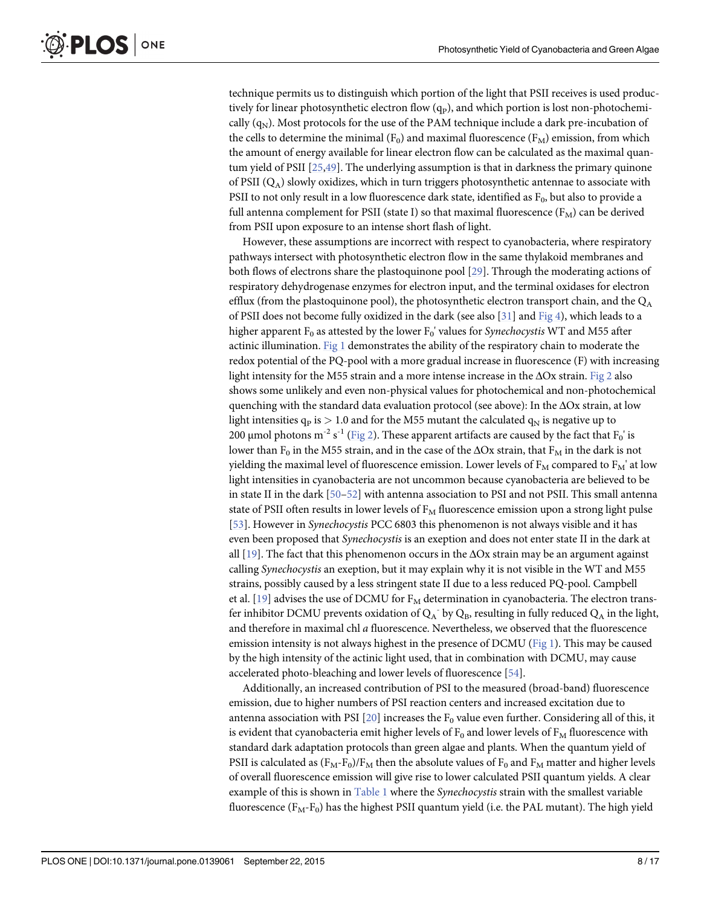<span id="page-7-0"></span>technique permits us to distinguish which portion of the light that PSII receives is used productively for linear photosynthetic electron flow  $(q_P)$ , and which portion is lost non-photochemically  $(q_N)$ . Most protocols for the use of the PAM technique include a dark pre-incubation of the cells to determine the minimal ( $F_0$ ) and maximal fluorescence ( $F_M$ ) emission, from which the amount of energy available for linear electron flow can be calculated as the maximal quantum yield of PSII [[25](#page-14-0)[,49](#page-15-0)]. The underlying assumption is that in darkness the primary quinone of PSII  $(Q_A)$  slowly oxidizes, which in turn triggers photosynthetic antennae to associate with PSII to not only result in a low fluorescence dark state, identified as  $F_0$ , but also to provide a full antenna complement for PSII (state I) so that maximal fluorescence  $(F_M)$  can be derived from PSII upon exposure to an intense short flash of light.

However, these assumptions are incorrect with respect to cyanobacteria, where respiratory pathways intersect with photosynthetic electron flow in the same thylakoid membranes and both flows of electrons share the plastoquinone pool [\[29\]](#page-14-0). Through the moderating actions of respiratory dehydrogenase enzymes for electron input, and the terminal oxidases for electron efflux (from the plastoquinone pool), the photosynthetic electron transport chain, and the  $Q_A$ of PSII does not become fully oxidized in the dark (see also [[31\]](#page-14-0) and [Fig 4\)](#page-8-0), which leads to a higher apparent  $F_0$  as attested by the lower  $F_0'$  values for *Synechocystis* WT and M55 after actinic illumination. [Fig 1](#page-3-0) demonstrates the ability of the respiratory chain to moderate the redox potential of the PQ-pool with a more gradual increase in fluorescence (F) with increasing light intensity for the M55 strain and a more intense increase in the  $\Delta$ Ox strain. [Fig 2](#page-4-0) also shows some unlikely and even non-physical values for photochemical and non-photochemical quenching with the standard data evaluation protocol (see above): In the ΔOx strain, at low light intensities  $q_p$  is  $> 1.0$  and for the M55 mutant the calculated  $q_N$  is negative up to 200 μmol photons m $^2$  s $^1$  ( $\overline{\mathrm{Fig}}$  2). These apparent artifacts are caused by the fact that  $\mathrm{F_0}'$  is lower than F<sub>0</sub> in the M55 strain, and in the case of the  $\Delta$ Ox strain, that F<sub>M</sub> in the dark is not yielding the maximal level of fluorescence emission. Lower levels of  $F_M$  compared to  $F_M'$  at low light intensities in cyanobacteria are not uncommon because cyanobacteria are believed to be in state II in the dark [\[50](#page-15-0)–[52\]](#page-15-0) with antenna association to PSI and not PSII. This small antenna state of PSII often results in lower levels of  $F<sub>M</sub>$  fluorescence emission upon a strong light pulse [\[53](#page-15-0)]. However in *Synechocystis* PCC 6803 this phenomenon is not always visible and it has even been proposed that Synechocystis is an exeption and does not enter state II in the dark at all  $[19]$ . The fact that this phenomenon occurs in the  $\Delta$ Ox strain may be an argument against calling Synechocystis an exeption, but it may explain why it is not visible in the WT and M55 strains, possibly caused by a less stringent state II due to a less reduced PQ-pool. Campbell et al.  $[19]$  advises the use of DCMU for  $F_M$  determination in cyanobacteria. The electron transfer inhibitor DCMU prevents oxidation of  $Q_A^-$  by  $Q_B$ , resulting in fully reduced  $Q_A$  in the light, and therefore in maximal chl a fluorescence. Nevertheless, we observed that the fluorescence emission intensity is not always highest in the presence of DCMU [\(Fig 1\)](#page-3-0). This may be caused by the high intensity of the actinic light used, that in combination with DCMU, may cause accelerated photo-bleaching and lower levels of fluorescence [[54\]](#page-15-0).

Additionally, an increased contribution of PSI to the measured (broad-band) fluorescence emission, due to higher numbers of PSI reaction centers and increased excitation due to antenna association with PSI  $[20]$  $[20]$  $[20]$  increases the F<sub>0</sub> value even further. Considering all of this, it is evident that cyanobacteria emit higher levels of  $F_0$  and lower levels of  $F_M$  fluorescence with standard dark adaptation protocols than green algae and plants. When the quantum yield of PSII is calculated as  $(F_M-F_0)/F_M$  then the absolute values of  $F_0$  and  $F_M$  matter and higher levels of overall fluorescence emission will give rise to lower calculated PSII quantum yields. A clear example of this is shown in  $Table 1$  where the *Synechocystis* strain with the smallest variable fluorescence  $(F_M-F_0)$  has the highest PSII quantum yield (i.e. the PAL mutant). The high yield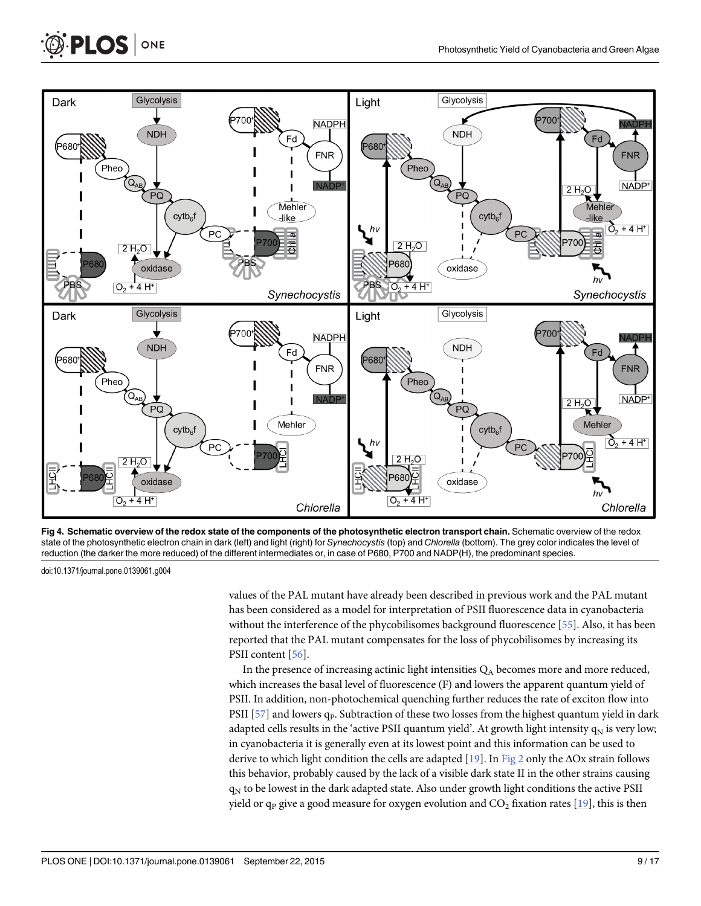

[Fig 4. S](#page-7-0)chematic overview of the redox state of the components of the photosynthetic electron transport chain. Schematic overview of the redox state of the photosynthetic electron chain in dark (left) and light (right) for Synechocystis (top) and Chlorella (bottom). The grey color indicates the level of reduction (the darker the more reduced) of the different intermediates or, in case of P680, P700 and NADP(H), the predominant species.

doi:10.1371/journal.pone.0139061.g004

<span id="page-8-0"></span>**PLOS** ONE

values of the PAL mutant have already been described in previous work and the PAL mutant has been considered as a model for interpretation of PSII fluorescence data in cyanobacteria without the interference of the phycobilisomes background fluorescence [[55](#page-16-0)]. Also, it has been reported that the PAL mutant compensates for the loss of phycobilisomes by increasing its PSII content [\[56\]](#page-16-0).

In the presence of increasing actinic light intensities  $Q_A$  becomes more and more reduced, which increases the basal level of fluorescence (F) and lowers the apparent quantum yield of PSII. In addition, non-photochemical quenching further reduces the rate of exciton flow into PSII  $[57]$  $[57]$  $[57]$  and lowers  $q_P$ . Subtraction of these two losses from the highest quantum yield in dark adapted cells results in the 'active PSII quantum yield'. At growth light intensity  $q_N$  is very low; in cyanobacteria it is generally even at its lowest point and this information can be used to derive to which light condition the cells are adapted  $[19]$  $[19]$  $[19]$ . In [Fig 2](#page-4-0) only the  $\Delta$ Ox strain follows this behavior, probably caused by the lack of a visible dark state II in the other strains causing q<sub>N</sub> to be lowest in the dark adapted state. Also under growth light conditions the active PSII yield or  $q_P$  give a good measure for oxygen evolution and  $CO_2$  fixation rates [[19](#page-14-0)], this is then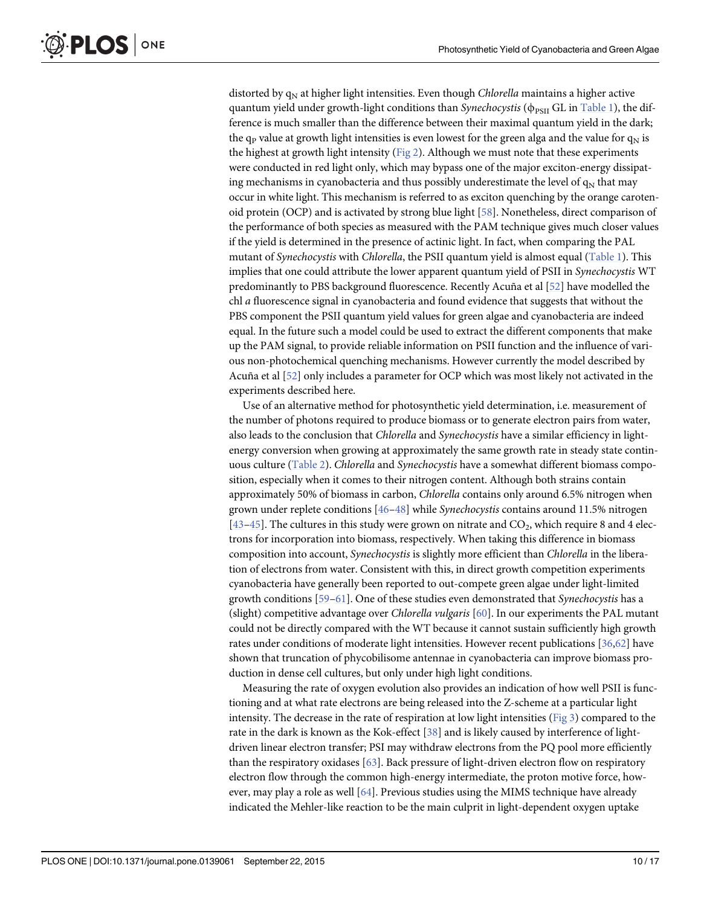<span id="page-9-0"></span>distorted by  $q_N$  at higher light intensities. Even though *Chlorella* maintains a higher active quantum yield under growth-light conditions than Synechocystis ( $\phi_{PSII}$  GL in [Table 1](#page-4-0)), the difference is much smaller than the difference between their maximal quantum yield in the dark; the q<sub>P</sub> value at growth light intensities is even lowest for the green alga and the value for  $q_N$  is the highest at growth light intensity ( $Fig 2$ ). Although we must note that these experiments were conducted in red light only, which may bypass one of the major exciton-energy dissipating mechanisms in cyanobacteria and thus possibly underestimate the level of  $q_N$  that may occur in white light. This mechanism is referred to as exciton quenching by the orange carotenoid protein (OCP) and is activated by strong blue light [[58](#page-16-0)]. Nonetheless, direct comparison of the performance of both species as measured with the PAM technique gives much closer values if the yield is determined in the presence of actinic light. In fact, when comparing the PAL mutant of Synechocystis with Chlorella, the PSII quantum yield is almost equal [\(Table 1\)](#page-4-0). This implies that one could attribute the lower apparent quantum yield of PSII in Synechocystis WT predominantly to PBS background fluorescence. Recently Acuña et al [\[52\]](#page-15-0) have modelled the chl a fluorescence signal in cyanobacteria and found evidence that suggests that without the PBS component the PSII quantum yield values for green algae and cyanobacteria are indeed equal. In the future such a model could be used to extract the different components that make up the PAM signal, to provide reliable information on PSII function and the influence of various non-photochemical quenching mechanisms. However currently the model described by Acuña et al [\[52\]](#page-15-0) only includes a parameter for OCP which was most likely not activated in the experiments described here.

Use of an alternative method for photosynthetic yield determination, i.e. measurement of the number of photons required to produce biomass or to generate electron pairs from water, also leads to the conclusion that *Chlorella* and *Synechocystis* have a similar efficiency in lightenergy conversion when growing at approximately the same growth rate in steady state contin-uous culture ([Table 2](#page-5-0)). Chlorella and Synechocystis have a somewhat different biomass composition, especially when it comes to their nitrogen content. Although both strains contain approximately 50% of biomass in carbon, Chlorella contains only around 6.5% nitrogen when grown under replete conditions [\[46](#page-15-0)–[48\]](#page-15-0) while Synechocystis contains around 11.5% nitrogen  $[43-45]$  $[43-45]$  $[43-45]$ . The cultures in this study were grown on nitrate and CO<sub>2</sub>, which require 8 and 4 electrons for incorporation into biomass, respectively. When taking this difference in biomass composition into account, Synechocystis is slightly more efficient than Chlorella in the liberation of electrons from water. Consistent with this, in direct growth competition experiments cyanobacteria have generally been reported to out-compete green algae under light-limited growth conditions [\[59](#page-16-0)–[61\]](#page-16-0). One of these studies even demonstrated that Synechocystis has a (slight) competitive advantage over Chlorella vulgaris [\[60\]](#page-16-0). In our experiments the PAL mutant could not be directly compared with the WT because it cannot sustain sufficiently high growth rates under conditions of moderate light intensities. However recent publications [[36](#page-15-0),[62](#page-16-0)] have shown that truncation of phycobilisome antennae in cyanobacteria can improve biomass production in dense cell cultures, but only under high light conditions.

Measuring the rate of oxygen evolution also provides an indication of how well PSII is functioning and at what rate electrons are being released into the Z-scheme at a particular light intensity. The decrease in the rate of respiration at low light intensities ( $Fig 3$ ) compared to the rate in the dark is known as the Kok-effect [[38\]](#page-15-0) and is likely caused by interference of lightdriven linear electron transfer; PSI may withdraw electrons from the PQ pool more efficiently than the respiratory oxidases [[63](#page-16-0)]. Back pressure of light-driven electron flow on respiratory electron flow through the common high-energy intermediate, the proton motive force, however, may play a role as well [\[64\]](#page-16-0). Previous studies using the MIMS technique have already indicated the Mehler-like reaction to be the main culprit in light-dependent oxygen uptake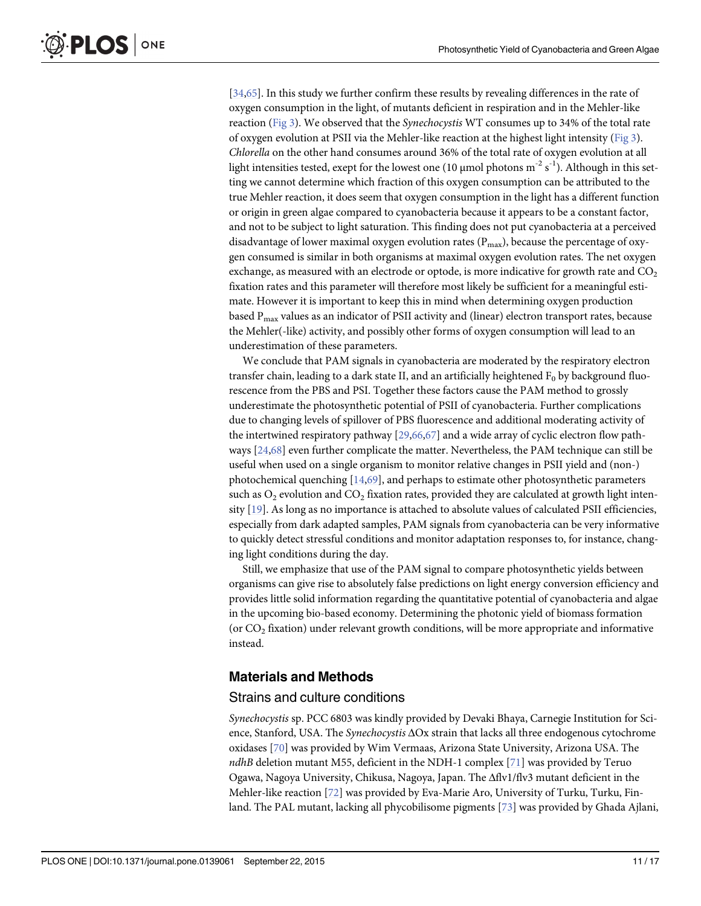<span id="page-10-0"></span>[\[34](#page-15-0)[,65\]](#page-16-0). In this study we further confirm these results by revealing differences in the rate of oxygen consumption in the light, of mutants deficient in respiration and in the Mehler-like reaction [\(Fig 3](#page-6-0)). We observed that the Synechocystis WT consumes up to 34% of the total rate of oxygen evolution at PSII via the Mehler-like reaction at the highest light intensity ([Fig 3\)](#page-6-0). Chlorella on the other hand consumes around 36% of the total rate of oxygen evolution at all light intensities tested, exept for the lowest one (10 µmol photons  $\text{m}^{\text{-}2} \, \text{s}^{\text{-}1}$ ). Although in this setting we cannot determine which fraction of this oxygen consumption can be attributed to the true Mehler reaction, it does seem that oxygen consumption in the light has a different function or origin in green algae compared to cyanobacteria because it appears to be a constant factor, and not to be subject to light saturation. This finding does not put cyanobacteria at a perceived disadvantage of lower maximal oxygen evolution rates ( $P<sub>max</sub>$ ), because the percentage of oxygen consumed is similar in both organisms at maximal oxygen evolution rates. The net oxygen exchange, as measured with an electrode or optode, is more indicative for growth rate and  $CO<sub>2</sub>$ fixation rates and this parameter will therefore most likely be sufficient for a meaningful estimate. However it is important to keep this in mind when determining oxygen production based  $P_{max}$  values as an indicator of PSII activity and (linear) electron transport rates, because the Mehler(-like) activity, and possibly other forms of oxygen consumption will lead to an underestimation of these parameters.

We conclude that PAM signals in cyanobacteria are moderated by the respiratory electron transfer chain, leading to a dark state II, and an artificially heightened  $F_0$  by background fluorescence from the PBS and PSI. Together these factors cause the PAM method to grossly underestimate the photosynthetic potential of PSII of cyanobacteria. Further complications due to changing levels of spillover of PBS fluorescence and additional moderating activity of the intertwined respiratory pathway [\[29,](#page-14-0)[66](#page-16-0),[67](#page-16-0)] and a wide array of cyclic electron flow pathways [\[24,](#page-14-0)[68](#page-16-0)] even further complicate the matter. Nevertheless, the PAM technique can still be useful when used on a single organism to monitor relative changes in PSII yield and (non-) photochemical quenching [[14](#page-14-0),[69](#page-16-0)], and perhaps to estimate other photosynthetic parameters such as  $O_2$  evolution and  $CO_2$  fixation rates, provided they are calculated at growth light intensity [[19](#page-14-0)]. As long as no importance is attached to absolute values of calculated PSII efficiencies, especially from dark adapted samples, PAM signals from cyanobacteria can be very informative to quickly detect stressful conditions and monitor adaptation responses to, for instance, changing light conditions during the day.

Still, we emphasize that use of the PAM signal to compare photosynthetic yields between organisms can give rise to absolutely false predictions on light energy conversion efficiency and provides little solid information regarding the quantitative potential of cyanobacteria and algae in the upcoming bio-based economy. Determining the photonic yield of biomass formation (or  $CO<sub>2</sub>$  fixation) under relevant growth conditions, will be more appropriate and informative instead.

# Materials and Methods

#### Strains and culture conditions

Synechocystis sp. PCC 6803 was kindly provided by Devaki Bhaya, Carnegie Institution for Science, Stanford, USA. The Synechocystis ΔOx strain that lacks all three endogenous cytochrome oxidases [[70\]](#page-16-0) was provided by Wim Vermaas, Arizona State University, Arizona USA. The  $ndhB$  deletion mutant M55, deficient in the NDH-1 complex [[71](#page-16-0)] was provided by Teruo Ogawa, Nagoya University, Chikusa, Nagoya, Japan. The Δflv1/flv3 mutant deficient in the Mehler-like reaction [[72](#page-16-0)] was provided by Eva-Marie Aro, University of Turku, Turku, Finland. The PAL mutant, lacking all phycobilisome pigments [\[73\]](#page-16-0) was provided by Ghada Ajlani,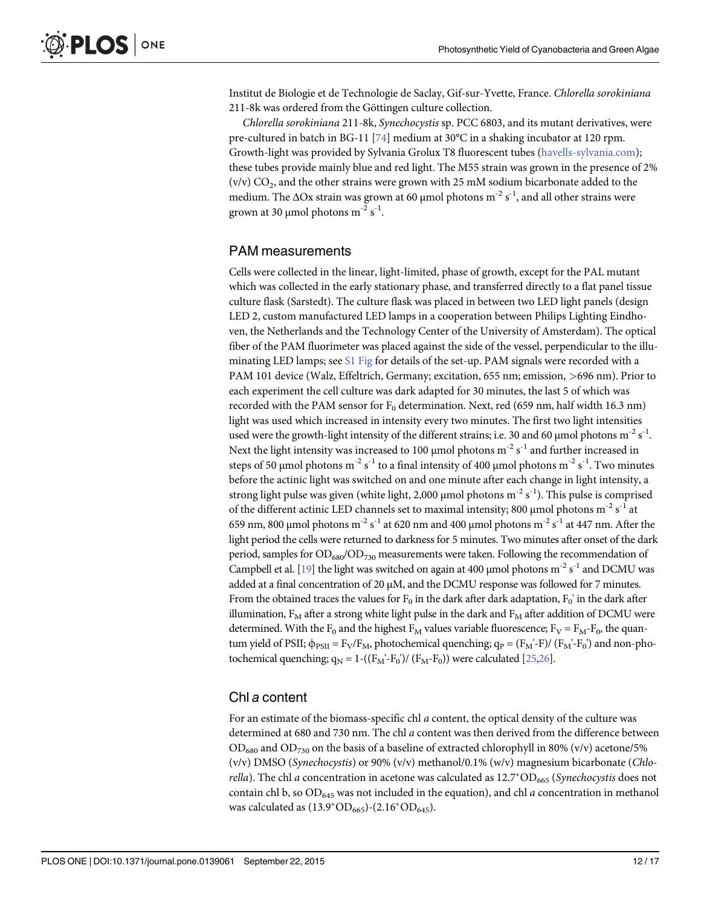<span id="page-11-0"></span>Institut de Biologie et de Technologie de Saclay, Gif-sur-Yvette, France. Chlorella sorokiniana 211-8k was ordered from the Göttingen culture collection.

Chlorella sorokiniana 211-8k, Synechocystis sp. PCC 6803, and its mutant derivatives, were pre-cultured in batch in BG-11 [\[74\]](#page-16-0) medium at 30°C in a shaking incubator at 120 rpm. Growth-light was provided by Sylvania Grolux T8 fluorescent tubes ([havells-sylvania.com](http://havells-sylvania.com)); these tubes provide mainly blue and red light. The M55 strain was grown in the presence of 2% (v/v)  $CO<sub>2</sub>$ , and the other strains were grown with 25 mM sodium bicarbonate added to the medium. The ΔOx strain was grown at 60 µmol photons  $m^{-2} s^{-1}$ , and all other strains were grown at 30 µmol photons m $^{-2}$  s $^{-1}$ .

#### PAM measurements

Cells were collected in the linear, light-limited, phase of growth, except for the PAL mutant which was collected in the early stationary phase, and transferred directly to a flat panel tissue culture flask (Sarstedt). The culture flask was placed in between two LED light panels (design LED 2, custom manufactured LED lamps in a cooperation between Philips Lighting Eindhoven, the Netherlands and the Technology Center of the University of Amsterdam). The optical fiber of the PAM fluorimeter was placed against the side of the vessel, perpendicular to the illuminating LED lamps; see [S1 Fig](#page-13-0) for details of the set-up. PAM signals were recorded with a PAM 101 device (Walz, Effeltrich, Germany; excitation, 655 nm; emission, >696 nm). Prior to each experiment the cell culture was dark adapted for 30 minutes, the last 5 of which was recorded with the PAM sensor for  $F_0$  determination. Next, red (659 nm, half width 16.3 nm) light was used which increased in intensity every two minutes. The first two light intensities used were the growth-light intensity of the different strains; i.e. 30 and 60 µmol photons  $m^{-2} s^{-1}$ . Next the light intensity was increased to 100 µmol photons  $\mathrm{m}^\text{-2} \, \mathrm{s}^\text{-1}$  and further increased in steps of 50 µmol photons m $^{-2}$  s $^{-1}$  to a final intensity of 400 µmol photons m $^{-2}$  s $^{-1}$ . Two minutes before the actinic light was switched on and one minute after each change in light intensity, a strong light pulse was given (white light, 2,000 µmol photons  $\mathrm{m}^{\text{-2}}$  s $^{\text{-1}}$ ). This pulse is comprised of the different actinic LED channels set to maximal intensity; 800 µmol photons  $m^{-2} s^{-1}$  at 659 nm, 800 μmol photons m<sup>-2</sup> s<sup>-1</sup> at 620 nm and 400 μmol photons m<sup>-2</sup> s<sup>-1</sup> at 447 nm. After the light period the cells were returned to darkness for 5 minutes. Two minutes after onset of the dark period, samples for  $OD_{680}/OD_{730}$  measurements were taken. Following the recommendation of Campbell et al. [[19](#page-14-0)] the light was switched on again at 400 µmol photons  $m^{-2} s^{-1}$  and DCMU was added at a final concentration of 20 μM, and the DCMU response was followed for 7 minutes. From the obtained traces the values for  $F_0$  in the dark after dark adaptation,  $F_0'$  in the dark after illumination,  $F_M$  after a strong white light pulse in the dark and  $F_M$  after addition of DCMU were determined. With the F<sub>0</sub> and the highest F<sub>M</sub> values variable fluorescence; F<sub>V</sub> = F<sub>M</sub>-F<sub>0</sub>, the quantum yield of PSII;  $\phi_{PSII} = F_V/F_M$ , photochemical quenching;  $q_P = (F_M-F)/(F_M-F_0)$  and non-photochemical quenching;  $q_N = 1 - ((F_M' - F_0') / (F_M - F_0))$  were calculated [\[25,26](#page-14-0)].

# Chl a content

For an estimate of the biomass-specific chl a content, the optical density of the culture was determined at 680 and 730 nm. The chl a content was then derived from the difference between  $OD_{680}$  and  $OD_{730}$  on the basis of a baseline of extracted chlorophyll in 80% (v/v) acetone/5% (v/v) DMSO (Synechocystis) or 90% (v/v) methanol/0.1% (w/v) magnesium bicarbonate (Chlo*rella*). The chl a concentration in acetone was calculated as  $12.7^{\circ}OD_{665}$  (*Synechocystis* does not contain chl b, so  $OD<sub>645</sub>$  was not included in the equation), and chl a concentration in methanol was calculated as  $(13.9^* \text{OD}_{665})$ - $(2.16^* \text{OD}_{645})$ .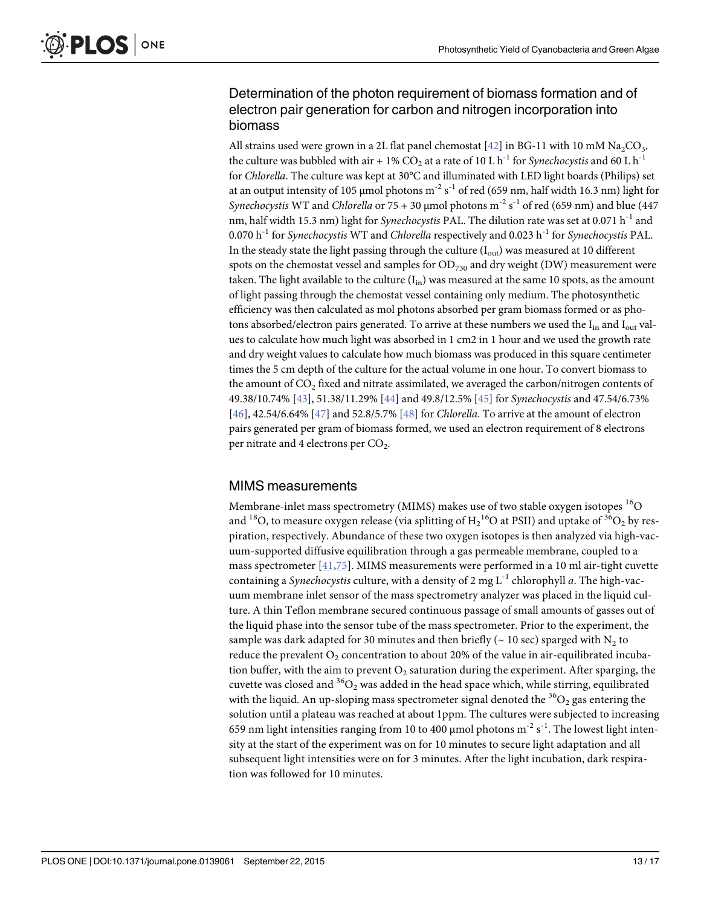# <span id="page-12-0"></span>Determination of the photon requirement of biomass formation and of electron pair generation for carbon and nitrogen incorporation into biomass

All strains used were grown in a 2L flat panel chemostat  $[42]$  in BG-11 with 10 mM Na<sub>2</sub>CO<sub>3</sub>, the culture was bubbled with air + 1%  $CO_2$  at a rate of 10 L h<sup>-1</sup> for *Synechocystis* and 60 L h<sup>-1</sup> for Chlorella. The culture was kept at 30°C and illuminated with LED light boards (Philips) set at an output intensity of 105 µmol photons m $^{\text{-} 2}$  s $^{\text{-}1}$  of red (659 nm, half width 16.3 nm) light for Synechocystis WT and Chlorella or 75 + 30 µmol photons  $\mathrm{m}^{\text{-2}}$  s<sup>-1</sup> of red (659 nm) and blue (447 nm, half width 15.3 nm) light for Synechocystis PAL. The dilution rate was set at 0.071  $h^{-1}$  and 0.070 h<sup>-1</sup> for *Synechocystis* WT and *Chlorella* respectively and 0.023 h<sup>-1</sup> for *Synechocystis* PAL. In the steady state the light passing through the culture  $(I_{out})$  was measured at 10 different spots on the chemostat vessel and samples for  $OD_{730}$  and dry weight (DW) measurement were taken. The light available to the culture  $(I_{in})$  was measured at the same 10 spots, as the amount of light passing through the chemostat vessel containing only medium. The photosynthetic efficiency was then calculated as mol photons absorbed per gram biomass formed or as photons absorbed/electron pairs generated. To arrive at these numbers we used the I<sub>in</sub> and I<sub>out</sub> values to calculate how much light was absorbed in 1 cm2 in 1 hour and we used the growth rate and dry weight values to calculate how much biomass was produced in this square centimeter times the 5 cm depth of the culture for the actual volume in one hour. To convert biomass to the amount of  $CO<sub>2</sub>$  fixed and nitrate assimilated, we averaged the carbon/nitrogen contents of 49.38/10.74% [\[43\]](#page-15-0), 51.38/11.29% [[44](#page-15-0)] and 49.8/12.5% [[45](#page-15-0)] for Synechocystis and 47.54/6.73% [\[46](#page-15-0)], 42.54/6.64% [\[47\]](#page-15-0) and 52.8/5.7% [\[48\]](#page-15-0) for Chlorella. To arrive at the amount of electron pairs generated per gram of biomass formed, we used an electron requirement of 8 electrons per nitrate and 4 electrons per  $CO<sub>2</sub>$ .

# MIMS measurements

Membrane-inlet mass spectrometry (MIMS) makes use of two stable oxygen isotopes <sup>16</sup>O and  $^{18} \mathrm{O},$  to measure oxygen release (via splitting of  $\mathrm{H_2}^{16} \mathrm{O}$  at PSII) and uptake of  $^{36} \mathrm{O_2}$  by respiration, respectively. Abundance of these two oxygen isotopes is then analyzed via high-vacuum-supported diffusive equilibration through a gas permeable membrane, coupled to a mass spectrometer  $[41,75]$  $[41,75]$  $[41,75]$  $[41,75]$  $[41,75]$ . MIMS measurements were performed in a 10 ml air-tight cuvette containing a Synechocystis culture, with a density of 2 mg  $L^{-1}$  chlorophyll a. The high-vacuum membrane inlet sensor of the mass spectrometry analyzer was placed in the liquid culture. A thin Teflon membrane secured continuous passage of small amounts of gasses out of the liquid phase into the sensor tube of the mass spectrometer. Prior to the experiment, the sample was dark adapted for 30 minutes and then briefly ( $\sim$  10 sec) sparged with N<sub>2</sub> to reduce the prevalent  $O_2$  concentration to about 20% of the value in air-equilibrated incubation buffer, with the aim to prevent  $O_2$  saturation during the experiment. After sparging, the cuvette was closed and  ${}^{36}O_2$  was added in the head space which, while stirring, equilibrated with the liquid. An up-sloping mass spectrometer signal denoted the  ${}^{36}O_2$  gas entering the solution until a plateau was reached at about 1ppm. The cultures were subjected to increasing 659 nm light intensities ranging from 10 to 400 µmol photons  $m^{-2} s^{-1}$ . The lowest light intensity at the start of the experiment was on for 10 minutes to secure light adaptation and all subsequent light intensities were on for 3 minutes. After the light incubation, dark respiration was followed for 10 minutes.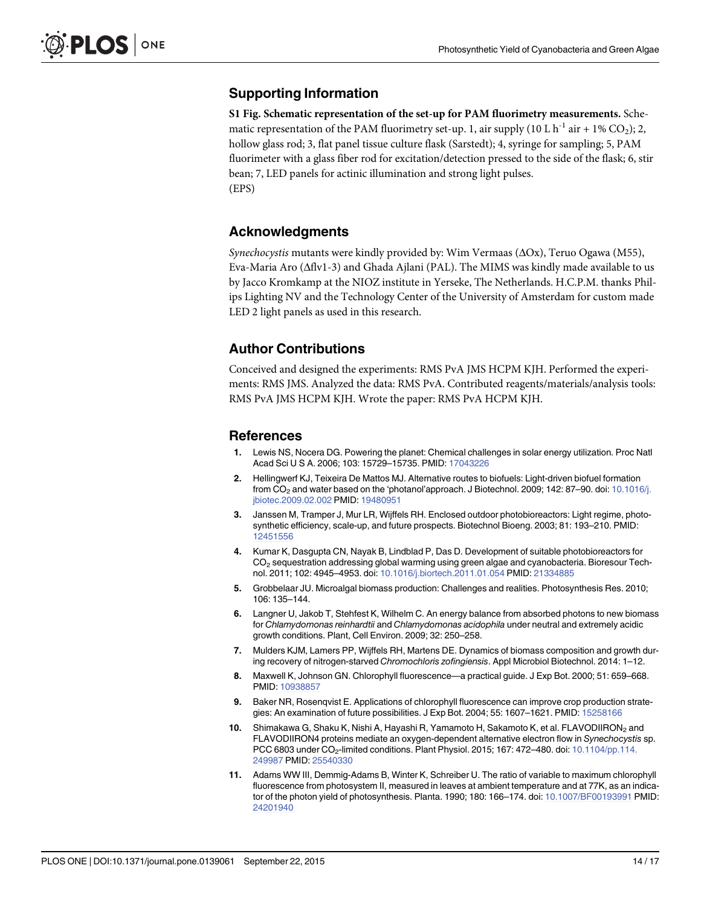# <span id="page-13-0"></span>Supporting Information

[S1 Fig.](http://www.plosone.org/article/fetchSingleRepresentation.action?uri=info:doi/10.1371/journal.pone.0139061.s001) Schematic representation of the set-up for PAM fluorimetry measurements. Schematic representation of the PAM fluorimetry set-up. 1, air supply (10 L h<sup>-1</sup> air + 1% CO<sub>2</sub>); 2, hollow glass rod; 3, flat panel tissue culture flask (Sarstedt); 4, syringe for sampling; 5, PAM fluorimeter with a glass fiber rod for excitation/detection pressed to the side of the flask; 6, stir bean; 7, LED panels for actinic illumination and strong light pulses. (EPS)

#### Acknowledgments

Synechocystis mutants were kindly provided by: Wim Vermaas (ΔOx), Teruo Ogawa (M55), Eva-Maria Aro (Δflv1-3) and Ghada Ajlani (PAL). The MIMS was kindly made available to us by Jacco Kromkamp at the NIOZ institute in Yerseke, The Netherlands. H.C.P.M. thanks Philips Lighting NV and the Technology Center of the University of Amsterdam for custom made LED 2 light panels as used in this research.

### Author Contributions

Conceived and designed the experiments: RMS PvA JMS HCPM KJH. Performed the experiments: RMS JMS. Analyzed the data: RMS PvA. Contributed reagents/materials/analysis tools: RMS PvA JMS HCPM KJH. Wrote the paper: RMS PvA HCPM KJH.

#### References

- [1.](#page-0-0) Lewis NS, Nocera DG. Powering the planet: Chemical challenges in solar energy utilization. Proc Natl Acad Sci U S A. 2006; 103: 15729–15735. PMID: [17043226](http://www.ncbi.nlm.nih.gov/pubmed/17043226)
- [2.](#page-0-0) Hellingwerf KJ, Teixeira De Mattos MJ. Alternative routes to biofuels: Light-driven biofuel formation from CO<sub>2</sub> and water based on the 'photanol'approach. J Biotechnol. 2009; 142: 87–90. doi: [10.1016/j.](http://dx.doi.org/10.1016/j.jbiotec.2009.02.002) [jbiotec.2009.02.002](http://dx.doi.org/10.1016/j.jbiotec.2009.02.002) PMID: [19480951](http://www.ncbi.nlm.nih.gov/pubmed/19480951)
- [3.](#page-0-0) Janssen M, Tramper J, Mur LR, Wijffels RH. Enclosed outdoor photobioreactors: Light regime, photosynthetic efficiency, scale-up, and future prospects. Biotechnol Bioeng. 2003; 81: 193–210. PMID: [12451556](http://www.ncbi.nlm.nih.gov/pubmed/12451556)
- [4.](#page-0-0) Kumar K, Dasgupta CN, Nayak B, Lindblad P, Das D. Development of suitable photobioreactors for CO2 sequestration addressing global warming using green algae and cyanobacteria. Bioresour Technol. 2011; 102: 4945–4953. doi: [10.1016/j.biortech.2011.01.054](http://dx.doi.org/10.1016/j.biortech.2011.01.054) PMID: [21334885](http://www.ncbi.nlm.nih.gov/pubmed/21334885)
- [5.](#page-1-0) Grobbelaar JU. Microalgal biomass production: Challenges and realities. Photosynthesis Res. 2010; 106: 135–144.
- [6.](#page-1-0) Langner U, Jakob T, Stehfest K, Wilhelm C. An energy balance from absorbed photons to new biomass for Chlamydomonas reinhardtii and Chlamydomonas acidophila under neutral and extremely acidic growth conditions. Plant, Cell Environ. 2009; 32: 250–258.
- [7.](#page-1-0) Mulders KJM, Lamers PP, Wijffels RH, Martens DE. Dynamics of biomass composition and growth during recovery of nitrogen-starved Chromochloris zofingiensis. Appl Microbiol Biotechnol. 2014: 1–12.
- [8.](#page-1-0) Maxwell K, Johnson GN. Chlorophyll fluorescence—a practical guide. J Exp Bot. 2000; 51: 659–668. PMID: [10938857](http://www.ncbi.nlm.nih.gov/pubmed/10938857)
- [9.](#page-1-0) Baker NR, Rosenqvist E. Applications of chlorophyll fluorescence can improve crop production strategies: An examination of future possibilities. J Exp Bot. 2004; 55: 1607–1621. PMID: [15258166](http://www.ncbi.nlm.nih.gov/pubmed/15258166)
- [10.](#page-1-0) Shimakawa G, Shaku K, Nishi A, Hayashi R, Yamamoto H, Sakamoto K, et al. FLAVODIIRON<sub>2</sub> and FLAVODIIRON4 proteins mediate an oxygen-dependent alternative electron flow in Synechocystis sp. PCC 6803 under CO<sub>2</sub>-limited conditions. Plant Physiol. 2015; 167: 472–480. doi: [10.1104/pp.114.](http://dx.doi.org/10.1104/pp.114.249987) [249987](http://dx.doi.org/10.1104/pp.114.249987) PMID: [25540330](http://www.ncbi.nlm.nih.gov/pubmed/25540330)
- [11.](#page-1-0) Adams WW III, Demmig-Adams B, Winter K, Schreiber U. The ratio of variable to maximum chlorophyll fluorescence from photosystem II, measured in leaves at ambient temperature and at 77K, as an indicator of the photon yield of photosynthesis. Planta. 1990; 180: 166–174. doi: [10.1007/BF00193991](http://dx.doi.org/10.1007/BF00193991) PMID: [24201940](http://www.ncbi.nlm.nih.gov/pubmed/24201940)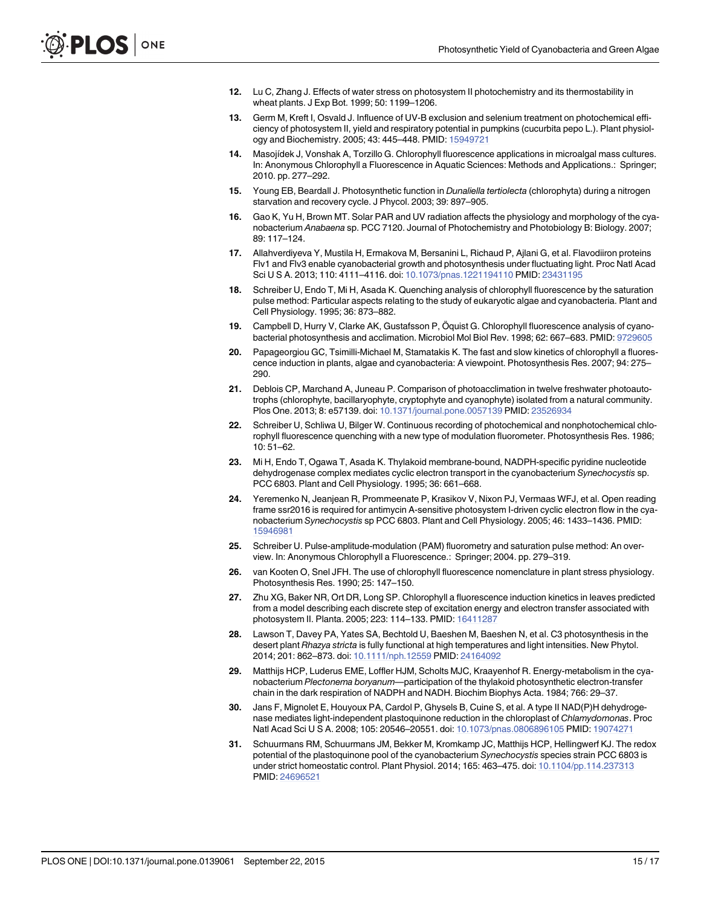- <span id="page-14-0"></span>12. Lu C, Zhang J. Effects of water stress on photosystem II photochemistry and its thermostability in wheat plants. J Exp Bot. 1999; 50: 1199–1206.
- [13.](#page-1-0) Germ M, Kreft I, Osvald J. Influence of UV-B exclusion and selenium treatment on photochemical efficiency of photosystem II, yield and respiratory potential in pumpkins (cucurbita pepo L.). Plant physiology and Biochemistry. 2005; 43: 445–448. PMID: [15949721](http://www.ncbi.nlm.nih.gov/pubmed/15949721)
- [14.](#page-1-0) Masojídek J, Vonshak A, Torzillo G. Chlorophyll fluorescence applications in microalgal mass cultures. In: Anonymous Chlorophyll a Fluorescence in Aquatic Sciences: Methods and Applications.: Springer; 2010. pp. 277–292.
- [15.](#page-1-0) Young EB, Beardall J. Photosynthetic function in *Dunaliella tertiolecta* (chlorophyta) during a nitrogen starvation and recovery cycle. J Phycol. 2003; 39: 897–905.
- [16.](#page-1-0) Gao K, Yu H, Brown MT. Solar PAR and UV radiation affects the physiology and morphology of the cyanobacterium Anabaena sp. PCC 7120. Journal of Photochemistry and Photobiology B: Biology. 2007; 89: 117–124.
- [17.](#page-1-0) Allahverdiyeva Y, Mustila H, Ermakova M, Bersanini L, Richaud P, Ajlani G, et al. Flavodiiron proteins Flv1 and Flv3 enable cyanobacterial growth and photosynthesis under fluctuating light. Proc Natl Acad Sci U S A. 2013; 110: 4111–4116. doi: [10.1073/pnas.1221194110](http://dx.doi.org/10.1073/pnas.1221194110) PMID: [23431195](http://www.ncbi.nlm.nih.gov/pubmed/23431195)
- [18.](#page-1-0) Schreiber U, Endo T, Mi H, Asada K. Quenching analysis of chlorophyll fluorescence by the saturation pulse method: Particular aspects relating to the study of eukaryotic algae and cyanobacteria. Plant and Cell Physiology. 1995; 36: 873–882.
- [19.](#page-1-0) Campbell D, Hurry V, Clarke AK, Gustafsson P, Öquist G. Chlorophyll fluorescence analysis of cyanobacterial photosynthesis and acclimation. Microbiol Mol Biol Rev. 1998; 62: 667–683. PMID: [9729605](http://www.ncbi.nlm.nih.gov/pubmed/9729605)
- [20.](#page-1-0) Papageorgiou GC, Tsimilli-Michael M, Stamatakis K. The fast and slow kinetics of chlorophyll a fluorescence induction in plants, algae and cyanobacteria: A viewpoint. Photosynthesis Res. 2007; 94: 275– 290.
- [21.](#page-1-0) Deblois CP, Marchand A, Juneau P. Comparison of photoacclimation in twelve freshwater photoautotrophs (chlorophyte, bacillaryophyte, cryptophyte and cyanophyte) isolated from a natural community. Plos One. 2013; 8: e57139. doi: [10.1371/journal.pone.0057139](http://dx.doi.org/10.1371/journal.pone.0057139) PMID: [23526934](http://www.ncbi.nlm.nih.gov/pubmed/23526934)
- Schreiber U, Schliwa U, Bilger W. Continuous recording of photochemical and nonphotochemical chlorophyll fluorescence quenching with a new type of modulation fluorometer. Photosynthesis Res. 1986; 10: 51–62.
- [23.](#page-1-0) Mi H, Endo T, Ogawa T, Asada K. Thylakoid membrane-bound, NADPH-specific pyridine nucleotide dehydrogenase complex mediates cyclic electron transport in the cyanobacterium Synechocystis sp. PCC 6803. Plant and Cell Physiology. 1995; 36: 661–668.
- [24.](#page-1-0) Yeremenko N, Jeanjean R, Prommeenate P, Krasikov V, Nixon PJ, Vermaas WFJ, et al. Open reading frame ssr2016 is required for antimycin A-sensitive photosystem I-driven cyclic electron flow in the cyanobacterium Synechocystis sp PCC 6803. Plant and Cell Physiology. 2005; 46: 1433–1436. PMID: [15946981](http://www.ncbi.nlm.nih.gov/pubmed/15946981)
- [25.](#page-1-0) Schreiber U. Pulse-amplitude-modulation (PAM) fluorometry and saturation pulse method: An overview. In: Anonymous Chlorophyll a Fluorescence.: Springer; 2004. pp. 279–319.
- [26.](#page-1-0) van Kooten O, Snel JFH. The use of chlorophyll fluorescence nomenclature in plant stress physiology. Photosynthesis Res. 1990; 25: 147–150.
- [27.](#page-1-0) Zhu XG, Baker NR, Ort DR, Long SP. Chlorophyll a fluorescence induction kinetics in leaves predicted from a model describing each discrete step of excitation energy and electron transfer associated with photosystem II. Planta. 2005; 223: 114–133. PMID: [16411287](http://www.ncbi.nlm.nih.gov/pubmed/16411287)
- [28.](#page-1-0) Lawson T, Davey PA, Yates SA, Bechtold U, Baeshen M, Baeshen N, et al. C3 photosynthesis in the desert plant Rhazya stricta is fully functional at high temperatures and light intensities. New Phytol. 2014; 201: 862–873. doi: [10.1111/nph.12559](http://dx.doi.org/10.1111/nph.12559) PMID: [24164092](http://www.ncbi.nlm.nih.gov/pubmed/24164092)
- [29.](#page-1-0) Matthijs HCP, Luderus EME, Loffler HJM, Scholts MJC, Kraayenhof R. Energy-metabolism in the cyanobacterium Plectonema boryanum—participation of the thylakoid photosynthetic electron-transfer chain in the dark respiration of NADPH and NADH. Biochim Biophys Acta. 1984; 766: 29–37.
- 30. Jans F, Mignolet E, Houyoux PA, Cardol P, Ghysels B, Cuine S, et al. A type II NAD(P)H dehydrogenase mediates light-independent plastoquinone reduction in the chloroplast of Chlamydomonas. Proc Natl Acad Sci U S A. 2008; 105: 20546-20551. doi: [10.1073/pnas.0806896105](http://dx.doi.org/10.1073/pnas.0806896105) PMID: [19074271](http://www.ncbi.nlm.nih.gov/pubmed/19074271)
- [31.](#page-1-0) Schuurmans RM, Schuurmans JM, Bekker M, Kromkamp JC, Matthijs HCP, Hellingwerf KJ. The redox potential of the plastoquinone pool of the cyanobacterium Synechocystis species strain PCC 6803 is under strict homeostatic control. Plant Physiol. 2014; 165: 463–475. doi: [10.1104/pp.114.237313](http://dx.doi.org/10.1104/pp.114.237313) PMID: [24696521](http://www.ncbi.nlm.nih.gov/pubmed/24696521)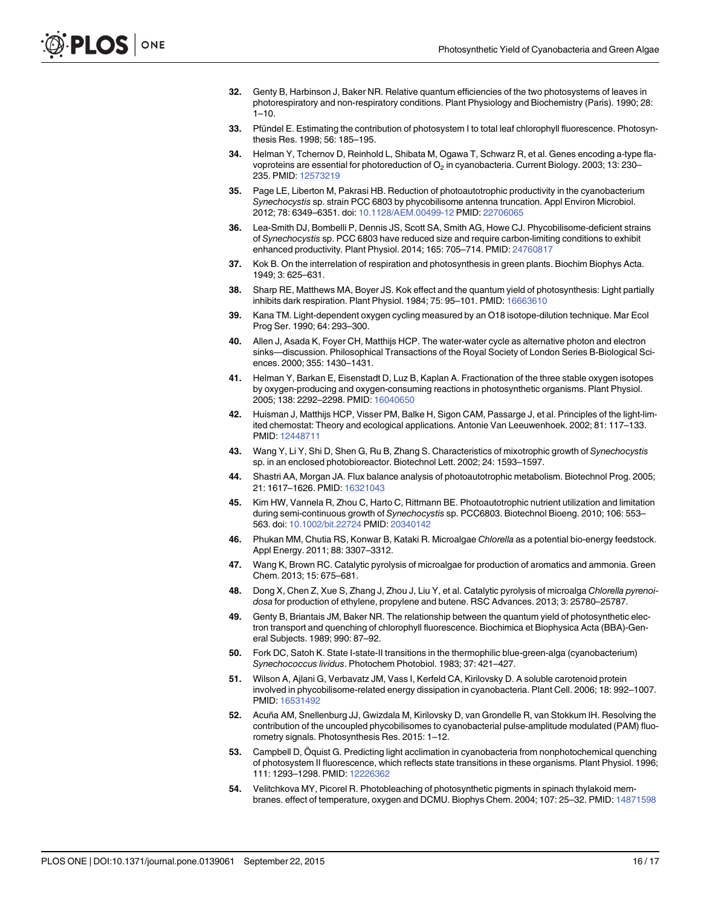- <span id="page-15-0"></span>[32.](#page-1-0) Genty B, Harbinson J, Baker NR. Relative quantum efficiencies of the two photosystems of leaves in photorespiratory and non-respiratory conditions. Plant Physiology and Biochemistry (Paris). 1990; 28:  $1 - 10$ .
- [33.](#page-1-0) Pfündel E. Estimating the contribution of photosystem I to total leaf chlorophyll fluorescence. Photosynthesis Res. 1998; 56: 185–195.
- [34.](#page-2-0) Helman Y, Tchernov D, Reinhold L, Shibata M, Ogawa T, Schwarz R, et al. Genes encoding a-type flavoproteins are essential for photoreduction of  $O<sub>2</sub>$  in cyanobacteria. Current Biology. 2003; 13: 230– 235. PMID: [12573219](http://www.ncbi.nlm.nih.gov/pubmed/12573219)
- [35.](#page-2-0) Page LE, Liberton M, Pakrasi HB. Reduction of photoautotrophic productivity in the cyanobacterium Synechocystis sp. strain PCC 6803 by phycobilisome antenna truncation. Appl Environ Microbiol. 2012; 78: 6349–6351. doi: [10.1128/AEM.00499-12](http://dx.doi.org/10.1128/AEM.00499-12) PMID: [22706065](http://www.ncbi.nlm.nih.gov/pubmed/22706065)
- [36.](#page-2-0) Lea-Smith DJ, Bombelli P, Dennis JS, Scott SA, Smith AG, Howe CJ. Phycobilisome-deficient strains of Synechocystis sp. PCC 6803 have reduced size and require carbon-limiting conditions to exhibit enhanced productivity. Plant Physiol. 2014; 165: 705–714. PMID: [24760817](http://www.ncbi.nlm.nih.gov/pubmed/24760817)
- [37.](#page-2-0) Kok B. On the interrelation of respiration and photosynthesis in green plants. Biochim Biophys Acta. 1949; 3: 625–631.
- [38.](#page-2-0) Sharp RE, Matthews MA, Boyer JS. Kok effect and the quantum yield of photosynthesis: Light partially inhibits dark respiration. Plant Physiol. 1984; 75: 95-101. PMID: [16663610](http://www.ncbi.nlm.nih.gov/pubmed/16663610)
- [39.](#page-2-0) Kana TM. Light-dependent oxygen cycling measured by an O18 isotope-dilution technique. Mar Ecol Prog Ser. 1990; 64: 293–300.
- 40. Allen J, Asada K, Foyer CH, Matthijs HCP. The water-water cycle as alternative photon and electron sinks—discussion. Philosophical Transactions of the Royal Society of London Series B-Biological Sciences. 2000; 355: 1430–1431.
- [41.](#page-2-0) Helman Y, Barkan E, Eisenstadt D, Luz B, Kaplan A. Fractionation of the three stable oxygen isotopes by oxygen-producing and oxygen-consuming reactions in photosynthetic organisms. Plant Physiol. 2005; 138: 2292–2298. PMID: [16040650](http://www.ncbi.nlm.nih.gov/pubmed/16040650)
- [42.](#page-5-0) Huisman J, Matthijs HCP, Visser PM, Balke H, Sigon CAM, Passarge J, et al. Principles of the light-limited chemostat: Theory and ecological applications. Antonie Van Leeuwenhoek. 2002; 81: 117–133. PMID: [12448711](http://www.ncbi.nlm.nih.gov/pubmed/12448711)
- [43.](#page-5-0) Wang Y, Li Y, Shi D, Shen G, Ru B, Zhang S. Characteristics of mixotrophic growth of Synechocystis sp. in an enclosed photobioreactor. Biotechnol Lett. 2002; 24: 1593–1597.
- [44.](#page-12-0) Shastri AA, Morgan JA. Flux balance analysis of photoautotrophic metabolism. Biotechnol Prog. 2005; 21: 1617–1626. PMID: [16321043](http://www.ncbi.nlm.nih.gov/pubmed/16321043)
- [45.](#page-5-0) Kim HW, Vannela R, Zhou C, Harto C, Rittmann BE. Photoautotrophic nutrient utilization and limitation during semi-continuous growth of Synechocystis sp. PCC6803. Biotechnol Bioeng. 2010; 106: 553– 563. doi: [10.1002/bit.22724](http://dx.doi.org/10.1002/bit.22724) PMID: [20340142](http://www.ncbi.nlm.nih.gov/pubmed/20340142)
- [46.](#page-5-0) Phukan MM, Chutia RS, Konwar B, Kataki R. Microalgae Chlorella as a potential bio-energy feedstock. Appl Energy. 2011; 88: 3307–3312.
- [47.](#page-12-0) Wang K, Brown RC. Catalytic pyrolysis of microalgae for production of aromatics and ammonia. Green Chem. 2013; 15: 675–681.
- [48.](#page-5-0) Dong X, Chen Z, Xue S, Zhang J, Zhou J, Liu Y, et al. Catalytic pyrolysis of microalga Chlorella pyrenoidosa for production of ethylene, propylene and butene. RSC Advances. 2013; 3: 25780–25787.
- [49.](#page-7-0) Genty B, Briantais JM, Baker NR. The relationship between the quantum yield of photosynthetic electron transport and quenching of chlorophyll fluorescence. Biochimica et Biophysica Acta (BBA)-General Subjects. 1989; 990: 87–92.
- [50.](#page-7-0) Fork DC, Satoh K. State I-state-II transitions in the thermophilic blue-green-alga (cyanobacterium) Synechococcus lividus. Photochem Photobiol. 1983; 37: 421–427.
- 51. Wilson A, Ajlani G, Verbavatz JM, Vass I, Kerfeld CA, Kirilovsky D. A soluble carotenoid protein involved in phycobilisome-related energy dissipation in cyanobacteria. Plant Cell. 2006; 18: 992–1007. PMID: [16531492](http://www.ncbi.nlm.nih.gov/pubmed/16531492)
- [52.](#page-7-0) Acuña AM, Snellenburg JJ, Gwizdala M, Kirilovsky D, van Grondelle R, van Stokkum IH. Resolving the contribution of the uncoupled phycobilisomes to cyanobacterial pulse-amplitude modulated (PAM) fluorometry signals. Photosynthesis Res. 2015: 1–12.
- [53.](#page-7-0) Campbell D, Öquist G. Predicting light acclimation in cyanobacteria from nonphotochemical quenching of photosystem II fluorescence, which reflects state transitions in these organisms. Plant Physiol. 1996; 111: 1293–1298. PMID: [12226362](http://www.ncbi.nlm.nih.gov/pubmed/12226362)
- [54.](#page-7-0) Velitchkova MY, Picorel R. Photobleaching of photosynthetic pigments in spinach thylakoid membranes. effect of temperature, oxygen and DCMU. Biophys Chem. 2004; 107: 25–32. PMID: [14871598](http://www.ncbi.nlm.nih.gov/pubmed/14871598)